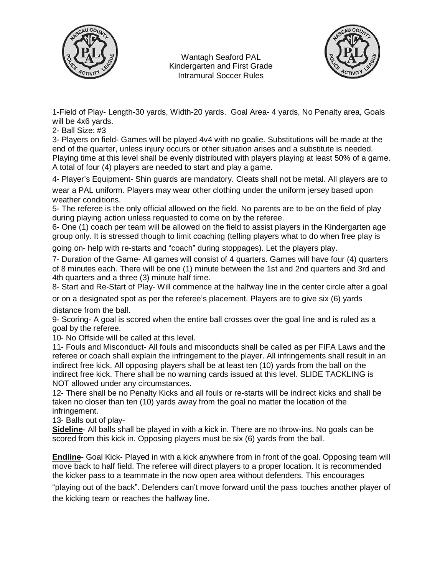

Wantagh Seaford PAL Kindergarten and First Grade Intramural Soccer Rules



1-Field of Play- Length-30 yards, Width-20 yards. Goal Area- 4 yards, No Penalty area, Goals will be 4x6 yards.

2- Ball Size: #3

3- Players on field- Games will be played 4v4 with no goalie. Substitutions will be made at the end of the quarter, unless injury occurs or other situation arises and a substitute is needed. Playing time at this level shall be evenly distributed with players playing at least 50% of a game. A total of four (4) players are needed to start and play a game.

4- Player's Equipment- Shin guards are mandatory. Cleats shall not be metal. All players are to

wear a PAL uniform. Players may wear other clothing under the uniform jersey based upon weather conditions.

5- The referee is the only official allowed on the field. No parents are to be on the field of play during playing action unless requested to come on by the referee.

6- One (1) coach per team will be allowed on the field to assist players in the Kindergarten age group only. It is stressed though to limit coaching (telling players what to do when free play is

going on- help with re-starts and "coach" during stoppages). Let the players play.

7- Duration of the Game- All games will consist of 4 quarters. Games will have four (4) quarters of 8 minutes each. There will be one (1) minute between the 1st and 2nd quarters and 3rd and 4th quarters and a three (3) minute half time.

8- Start and Re-Start of Play- Will commence at the halfway line in the center circle after a goal

or on a designated spot as per the referee's placement. Players are to give six (6) yards distance from the ball.

9- Scoring- A goal is scored when the entire ball crosses over the goal line and is ruled as a goal by the referee.

10- No Offside will be called at this level.

11- Fouls and Misconduct- All fouls and misconducts shall be called as per FIFA Laws and the referee or coach shall explain the infringement to the player. All infringements shall result in an indirect free kick. All opposing players shall be at least ten (10) yards from the ball on the indirect free kick. There shall be no warning cards issued at this level. SLIDE TACKLING is NOT allowed under any circumstances.

12- There shall be no Penalty Kicks and all fouls or re-starts will be indirect kicks and shall be taken no closer than ten (10) yards away from the goal no matter the location of the infringement.

13- Balls out of play-

**Sideline**- All balls shall be played in with a kick in. There are no throw-ins. No goals can be scored from this kick in. Opposing players must be six (6) yards from the ball.

**Endline**- Goal Kick- Played in with a kick anywhere from in front of the goal. Opposing team will move back to half field. The referee will direct players to a proper location. It is recommended the kicker pass to a teammate in the now open area without defenders. This encourages

"playing out of the back". Defenders can't move forward until the pass touches another player of the kicking team or reaches the halfway line.